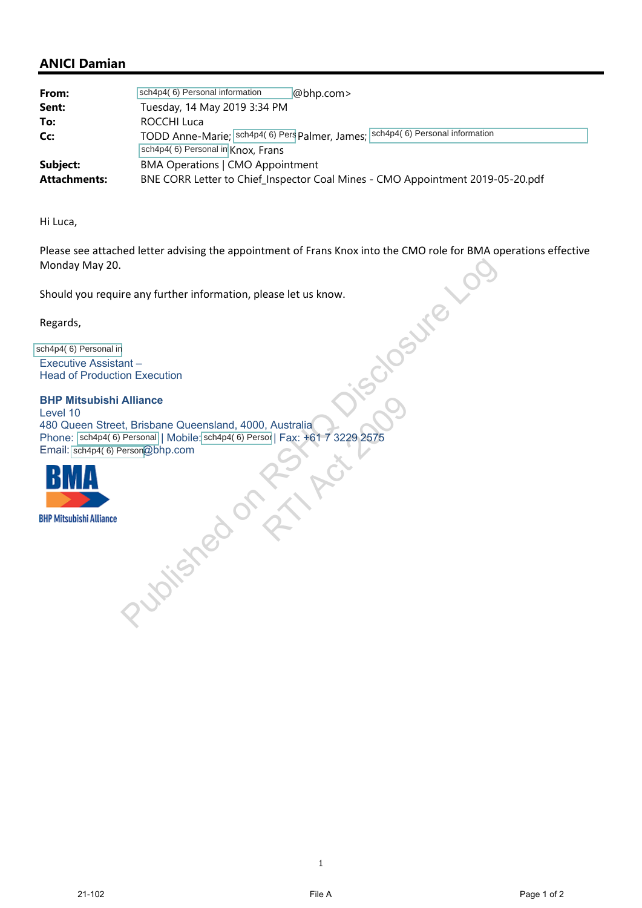## **ANICI Damian**

| From:                               | sch4p4(6) Personal information<br>@bhp.com>                                                                      |
|-------------------------------------|------------------------------------------------------------------------------------------------------------------|
| Sent:                               | Tuesday, 14 May 2019 3:34 PM                                                                                     |
| To:                                 | ROCCHI Luca                                                                                                      |
| Cc:                                 | TODD Anne-Marie; sch4p4(6) Pers Palmer, James; sch4p4(6) Personal information                                    |
|                                     | sch4p4(6) Personal in Knox, Frans                                                                                |
| Subject:                            | <b>BMA Operations   CMO Appointment</b>                                                                          |
| <b>Attachments:</b>                 | BNE CORR Letter to Chief_Inspector Coal Mines - CMO Appointment 2019-05-20.pdf                                   |
| Hi Luca,                            |                                                                                                                  |
| Monday May 20.                      | Please see attached letter advising the appointment of Frans Knox into the CMO role for BMA operations effective |
|                                     | Should you require any further information, please let us know.                                                  |
| Regards,                            |                                                                                                                  |
| sch4p4(6) Personal in               |                                                                                                                  |
| Executive Assistant -               |                                                                                                                  |
| <b>Head of Production Execution</b> |                                                                                                                  |
|                                     |                                                                                                                  |
| <b>BHP Mitsubishi Alliance</b>      |                                                                                                                  |
| Level 10                            | 480 Queen Street, Brisbane Queensland, 4000, Australia                                                           |
|                                     | Phone: sch4p4(6) Personal   Mobile: sch4p4(6) Persor   Fax: +61 7 3229 2575                                      |
| Email: sch4p4(6) Person@bhp.com     |                                                                                                                  |

## **BHP Mitsubishi Alliance**

Level 10 480 Queen Street, Brisbane Queensland, 4000, Australia Phone: |sch4p4( 6) Personal | Mobile: sch4p4( 6) Persor | Fax: +61 7 3229 2575 Email:  $\frac{\text{sch4p4}(6)}{\text{Person@bhp.com}}$ Present Control Control Control Control Control Control Control Control Control Control Control Control Control Control Control Control Control Control Control Control Control Control Control Control Control Control Contro ), Australia<br>sol | Fax: +61 7 3229 2575<br>Contract 2009



1